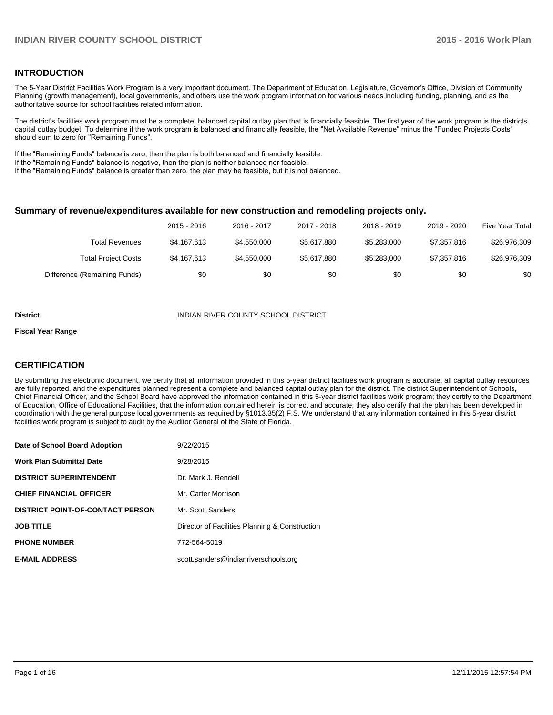#### **INTRODUCTION**

The 5-Year District Facilities Work Program is a very important document. The Department of Education, Legislature, Governor's Office, Division of Community Planning (growth management), local governments, and others use the work program information for various needs including funding, planning, and as the authoritative source for school facilities related information.

The district's facilities work program must be a complete, balanced capital outlay plan that is financially feasible. The first year of the work program is the districts capital outlay budget. To determine if the work program is balanced and financially feasible, the "Net Available Revenue" minus the "Funded Projects Costs" should sum to zero for "Remaining Funds".

If the "Remaining Funds" balance is zero, then the plan is both balanced and financially feasible.

If the "Remaining Funds" balance is negative, then the plan is neither balanced nor feasible.

If the "Remaining Funds" balance is greater than zero, the plan may be feasible, but it is not balanced.

#### **Summary of revenue/expenditures available for new construction and remodeling projects only.**

|                              | 2015 - 2016 | 2016 - 2017 | 2017 - 2018 | 2018 - 2019 | 2019 - 2020 | Five Year Total |
|------------------------------|-------------|-------------|-------------|-------------|-------------|-----------------|
| Total Revenues               | \$4.167.613 | \$4,550,000 | \$5.617.880 | \$5.283.000 | \$7,357,816 | \$26,976,309    |
| <b>Total Project Costs</b>   | \$4,167,613 | \$4,550,000 | \$5.617.880 | \$5.283.000 | \$7,357,816 | \$26,976,309    |
| Difference (Remaining Funds) | \$0         | \$0         | \$0         | \$0         | \$0         | \$0             |

#### **District INDIAN RIVER COUNTY SCHOOL DISTRICT**

#### **Fiscal Year Range**

### **CERTIFICATION**

By submitting this electronic document, we certify that all information provided in this 5-year district facilities work program is accurate, all capital outlay resources are fully reported, and the expenditures planned represent a complete and balanced capital outlay plan for the district. The district Superintendent of Schools, Chief Financial Officer, and the School Board have approved the information contained in this 5-year district facilities work program; they certify to the Department of Education, Office of Educational Facilities, that the information contained herein is correct and accurate; they also certify that the plan has been developed in coordination with the general purpose local governments as required by §1013.35(2) F.S. We understand that any information contained in this 5-year district facilities work program is subject to audit by the Auditor General of the State of Florida.

| Date of School Board Adoption           | 9/22/2015                                      |
|-----------------------------------------|------------------------------------------------|
| <b>Work Plan Submittal Date</b>         | 9/28/2015                                      |
| <b>DISTRICT SUPERINTENDENT</b>          | Dr. Mark J. Rendell                            |
| <b>CHIEF FINANCIAL OFFICER</b>          | Mr. Carter Morrison                            |
| <b>DISTRICT POINT-OF-CONTACT PERSON</b> | Mr. Scott Sanders                              |
| <b>JOB TITLE</b>                        | Director of Facilities Planning & Construction |
| <b>PHONE NUMBER</b>                     | 772-564-5019                                   |
| <b>E-MAIL ADDRESS</b>                   | scott.sanders@indianriverschools.org           |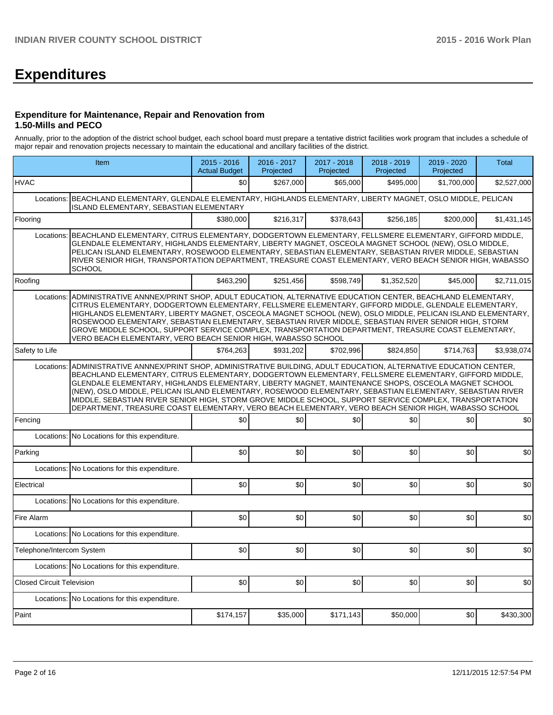# **Expenditures**

#### **Expenditure for Maintenance, Repair and Renovation from 1.50-Mills and PECO**

Annually, prior to the adoption of the district school budget, each school board must prepare a tentative district facilities work program that includes a schedule of major repair and renovation projects necessary to maintain the educational and ancillary facilities of the district.

|                                  | Item                                                                                                                                                                                                                                                                                                                                                                                                                                                                                                                                                                                                                                                      | $2015 - 2016$<br><b>Actual Budget</b> | 2016 - 2017<br>Projected | 2017 - 2018<br>Projected | 2018 - 2019<br>Projected | 2019 - 2020<br>Projected | <b>Total</b> |  |  |  |  |
|----------------------------------|-----------------------------------------------------------------------------------------------------------------------------------------------------------------------------------------------------------------------------------------------------------------------------------------------------------------------------------------------------------------------------------------------------------------------------------------------------------------------------------------------------------------------------------------------------------------------------------------------------------------------------------------------------------|---------------------------------------|--------------------------|--------------------------|--------------------------|--------------------------|--------------|--|--|--|--|
| <b>HVAC</b>                      |                                                                                                                                                                                                                                                                                                                                                                                                                                                                                                                                                                                                                                                           | \$0                                   | \$267,000                | \$65,000                 | \$495,000                | \$1,700,000              | \$2,527,000  |  |  |  |  |
|                                  | Locations: BEACHLAND ELEMENTARY, GLENDALE ELEMENTARY, HIGHLANDS ELEMENTARY, LIBERTY MAGNET, OSLO MIDDLE, PELICAN<br>ISLAND ELEMENTARY, SEBASTIAN ELEMENTARY                                                                                                                                                                                                                                                                                                                                                                                                                                                                                               |                                       |                          |                          |                          |                          |              |  |  |  |  |
| Flooring                         |                                                                                                                                                                                                                                                                                                                                                                                                                                                                                                                                                                                                                                                           | \$380,000                             | \$216,317                | \$378,643                | \$256,185                | \$200,000                | \$1,431,145  |  |  |  |  |
| Locations:                       | BEACHLAND ELEMENTARY, CITRUS ELEMENTARY, DODGERTOWN ELEMENTARY, FELLSMERE ELEMENTARY, GIFFORD MIDDLE,<br>GLENDALE ELEMENTARY, HIGHLANDS ELEMENTARY, LIBERTY MAGNET, OSCEOLA MAGNET SCHOOL (NEW), OSLO MIDDLE,<br>PELICAN ISLAND ELEMENTARY. ROSEWOOD ELEMENTARY. SEBASTIAN ELEMENTARY. SEBASTIAN RIVER MIDDLE. SEBASTIAN<br>RIVER SENIOR HIGH, TRANSPORTATION DEPARTMENT, TREASURE COAST ELEMENTARY, VERO BEACH SENIOR HIGH, WABASSO<br><b>SCHOOL</b>                                                                                                                                                                                                     |                                       |                          |                          |                          |                          |              |  |  |  |  |
| Roofing                          |                                                                                                                                                                                                                                                                                                                                                                                                                                                                                                                                                                                                                                                           | \$463.290                             | \$251,456                | \$598.749                | \$1,352,520              | \$45,000                 | \$2,711,015  |  |  |  |  |
| Locations:                       | ADMINISTRATIVE ANNNEX/PRINT SHOP, ADULT EDUCATION, ALTERNATIVE EDUCATION CENTER, BEACHLAND ELEMENTARY,<br>CITRUS ELEMENTARY, DODGERTOWN ELEMENTARY, FELLSMERE ELEMENTARY, GIFFORD MIDDLE, GLENDALE ELEMENTARY,<br>HIGHLANDS ELEMENTARY, LIBERTY MAGNET, OSCEOLA MAGNET SCHOOL (NEW), OSLO MIDDLE, PELICAN ISLAND ELEMENTARY,<br>ROSEWOOD ELEMENTARY, SEBASTIAN ELEMENTARY, SEBASTIAN RIVER MIDDLE, SEBASTIAN RIVER SENIOR HIGH, STORM<br>GROVE MIDDLE SCHOOL, SUPPORT SERVICE COMPLEX, TRANSPORTATION DEPARTMENT, TREASURE COAST ELEMENTARY,<br>VERO BEACH ELEMENTARY, VERO BEACH SENIOR HIGH, WABASSO SCHOOL                                             |                                       |                          |                          |                          |                          |              |  |  |  |  |
| Safety to Life                   |                                                                                                                                                                                                                                                                                                                                                                                                                                                                                                                                                                                                                                                           | \$764.263                             | \$931.202                | \$702.996                | \$824.850                | \$714.763                | \$3,938,074  |  |  |  |  |
| Locations:                       | ADMINISTRATIVE ANNNEX/PRINT SHOP, ADMINISTRATIVE BUILDING, ADULT EDUCATION, ALTERNATIVE EDUCATION CENTER,<br>BEACHLAND ELEMENTARY, CITRUS ELEMENTARY, DODGERTOWN ELEMENTARY, FELLSMERE ELEMENTARY, GIFFORD MIDDLE,<br>GLENDALE ELEMENTARY, HIGHLANDS ELEMENTARY, LIBERTY MAGNET, MAINTENANCE SHOPS, OSCEOLA MAGNET SCHOOL<br>(NEW), OSLO MIDDLE, PELICAN ISLAND ELEMENTARY, ROSEWOOD ELEMENTARY, SEBASTIAN ELEMENTARY, SEBASTIAN RIVER<br>MIDDLE, SEBASTIAN RIVER SENIOR HIGH, STORM GROVE MIDDLE SCHOOL, SUPPORT SERVICE COMPLEX, TRANSPORTATION<br>DEPARTMENT, TREASURE COAST ELEMENTARY, VERO BEACH ELEMENTARY, VERO BEACH SENIOR HIGH, WABASSO SCHOOL |                                       |                          |                          |                          |                          |              |  |  |  |  |
| Fencing                          |                                                                                                                                                                                                                                                                                                                                                                                                                                                                                                                                                                                                                                                           | \$0                                   | \$0                      | \$0                      | \$0                      | \$0                      | \$0          |  |  |  |  |
| Locations:                       | No Locations for this expenditure.                                                                                                                                                                                                                                                                                                                                                                                                                                                                                                                                                                                                                        |                                       |                          |                          |                          |                          |              |  |  |  |  |
| Parking                          |                                                                                                                                                                                                                                                                                                                                                                                                                                                                                                                                                                                                                                                           | \$0                                   | \$0                      | \$0                      | \$0                      | \$0                      | \$0          |  |  |  |  |
|                                  | Locations: No Locations for this expenditure.                                                                                                                                                                                                                                                                                                                                                                                                                                                                                                                                                                                                             |                                       |                          |                          |                          |                          |              |  |  |  |  |
| Electrical                       |                                                                                                                                                                                                                                                                                                                                                                                                                                                                                                                                                                                                                                                           | \$0                                   | \$0                      | \$0                      | \$0                      | \$0                      | \$0          |  |  |  |  |
|                                  | Locations: No Locations for this expenditure.                                                                                                                                                                                                                                                                                                                                                                                                                                                                                                                                                                                                             |                                       |                          |                          |                          |                          |              |  |  |  |  |
| Fire Alarm                       |                                                                                                                                                                                                                                                                                                                                                                                                                                                                                                                                                                                                                                                           | \$0                                   | \$0                      | \$0                      | \$0                      | \$0                      | \$0          |  |  |  |  |
|                                  | Locations: No Locations for this expenditure.                                                                                                                                                                                                                                                                                                                                                                                                                                                                                                                                                                                                             |                                       |                          |                          |                          |                          |              |  |  |  |  |
| Telephone/Intercom System        |                                                                                                                                                                                                                                                                                                                                                                                                                                                                                                                                                                                                                                                           | \$0                                   | \$0                      | \$0                      | \$0                      | \$0                      | \$0          |  |  |  |  |
|                                  | Locations: No Locations for this expenditure.                                                                                                                                                                                                                                                                                                                                                                                                                                                                                                                                                                                                             |                                       |                          |                          |                          |                          |              |  |  |  |  |
| <b>Closed Circuit Television</b> |                                                                                                                                                                                                                                                                                                                                                                                                                                                                                                                                                                                                                                                           | \$0                                   | \$0                      | \$0                      | \$0                      | \$0                      | \$0          |  |  |  |  |
|                                  | Locations: No Locations for this expenditure.                                                                                                                                                                                                                                                                                                                                                                                                                                                                                                                                                                                                             |                                       |                          |                          |                          |                          |              |  |  |  |  |
| Paint                            |                                                                                                                                                                                                                                                                                                                                                                                                                                                                                                                                                                                                                                                           | \$174,157                             | \$35,000                 | \$171,143                | \$50,000                 | \$0                      | \$430,300    |  |  |  |  |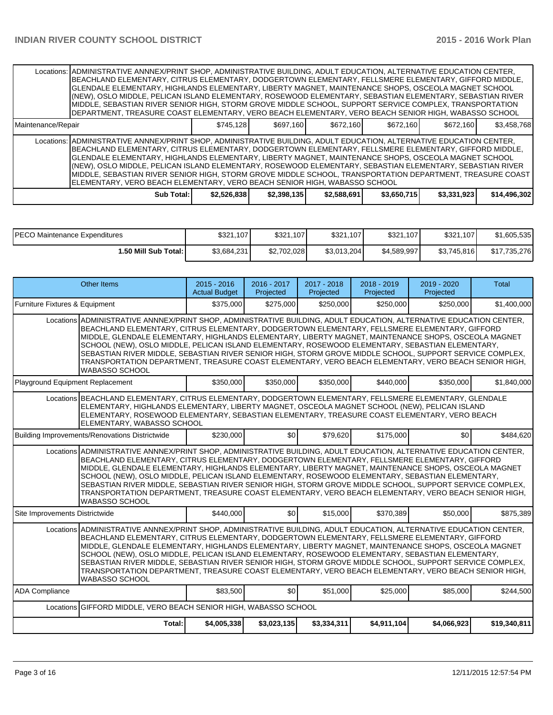|                    | Locations: ADMINISTRATIVE ANNNEX/PRINT SHOP, ADMINISTRATIVE BUILDING, ADULT EDUCATION, ALTERNATIVE EDUCATION CENTER,<br> BEACHLAND ELEMENTARY, CITRUS ELEMENTARY, DODGERTOWN ELEMENTARY, FELLSMERE ELEMENTARY, GIFFORD MIDDLE,<br>IGLENDALE ELEMENTARY. HIGHLANDS ELEMENTARY. LIBERTY MAGNET. MAINTENANCE SHOPS. OSCEOLA MAGNET SCHOOL<br>(NEW), OSLO MIDDLE, PELICAN ISLAND ELEMENTARY, ROSEWOOD ELEMENTARY, SEBASTIAN ELEMENTARY, SEBASTIAN RIVER<br>MIDDLE, SEBASTIAN RIVER SENIOR HIGH, STORM GROVE MIDDLE SCHOOL, SUPPORT SERVICE COMPLEX, TRANSPORTATION<br>DEPARTMENT, TREASURE COAST ELEMENTARY, VERO BEACH ELEMENTARY, VERO BEACH SENIOR HIGH, WABASSO SCHOOL |             |             |             |             |             |              |
|--------------------|------------------------------------------------------------------------------------------------------------------------------------------------------------------------------------------------------------------------------------------------------------------------------------------------------------------------------------------------------------------------------------------------------------------------------------------------------------------------------------------------------------------------------------------------------------------------------------------------------------------------------------------------------------------------|-------------|-------------|-------------|-------------|-------------|--------------|
| Maintenance/Repair |                                                                                                                                                                                                                                                                                                                                                                                                                                                                                                                                                                                                                                                                        | \$745.128   | \$697.160   | \$672.160   | \$672.160   | \$672.160   | \$3.458.768  |
|                    | Locations: ADMINISTRATIVE ANNNEX/PRINT SHOP, ADMINISTRATIVE BUILDING, ADULT EDUCATION, ALTERNATIVE EDUCATION CENTER,<br> BEACHLAND ELEMENTARY, CITRUS ELEMENTARY, DODGERTOWN ELEMENTARY, FELLSMERE ELEMENTARY, GIFFORD MIDDLE,<br>GLENDALE ELEMENTARY, HIGHLANDS ELEMENTARY, LIBERTY MAGNET, MAINTENANCE SHOPS, OSCEOLA MAGNET SCHOOL<br>(NEW), OSLO MIDDLE, PELICAN ISLAND ELEMENTARY, ROSEWOOD ELEMENTARY, SEBASTIAN ELEMENTARY, SEBASTIAN RIVER<br>IMIDDLE. SEBASTIAN RIVER SENIOR HIGH. STORM GROVE MIDDLE SCHOOL. TRANSPORTATION DEPARTMENT. TREASURE COAST<br>ELEMENTARY, VERO BEACH ELEMENTARY, VERO BEACH SENIOR HIGH, WABASSO SCHOOL                          |             |             |             |             |             |              |
|                    | Sub Total: I                                                                                                                                                                                                                                                                                                                                                                                                                                                                                                                                                                                                                                                           | \$2,526,838 | \$2,398,135 | \$2,588,691 | \$3,650,715 | \$3,331,923 | \$14,496,302 |

| <b>IPECO Maintenance Expenditures</b> | \$321,107   | \$321,107   | \$321,107   | \$321,107   | \$321,107   | \$1,605,535  |
|---------------------------------------|-------------|-------------|-------------|-------------|-------------|--------------|
| <b>I.50 Mill Sub Total: I</b>         | \$3,684,231 | \$2,702,028 | \$3,013,204 | \$4,589,997 | \$3,745,816 | \$17,735,276 |

| Other Items                                                                                                                                                                                                                                                                                                                                                                                                                                                                                                                                                                                                                                                                   |                                                                                                                                                                                                                                                                                                                                                                                                                                                                                                                               | $2015 - 2016$<br><b>Actual Budget</b> | 2016 - 2017<br>Projected | 2017 - 2018<br>Projected | $2018 - 2019$<br>Projected | 2019 - 2020<br>Projected | <b>Total</b> |  |  |
|-------------------------------------------------------------------------------------------------------------------------------------------------------------------------------------------------------------------------------------------------------------------------------------------------------------------------------------------------------------------------------------------------------------------------------------------------------------------------------------------------------------------------------------------------------------------------------------------------------------------------------------------------------------------------------|-------------------------------------------------------------------------------------------------------------------------------------------------------------------------------------------------------------------------------------------------------------------------------------------------------------------------------------------------------------------------------------------------------------------------------------------------------------------------------------------------------------------------------|---------------------------------------|--------------------------|--------------------------|----------------------------|--------------------------|--------------|--|--|
| Furniture Fixtures & Equipment                                                                                                                                                                                                                                                                                                                                                                                                                                                                                                                                                                                                                                                |                                                                                                                                                                                                                                                                                                                                                                                                                                                                                                                               | \$375,000                             | \$275,000                | \$250,000                | \$250,000                  | \$250,000                | \$1,400,000  |  |  |
| Locations ADMINISTRATIVE ANNNEX/PRINT SHOP, ADMINISTRATIVE BUILDING, ADULT EDUCATION, ALTERNATIVE EDUCATION CENTER,<br>BEACHLAND ELEMENTARY, CITRUS ELEMENTARY, DODGERTOWN ELEMENTARY, FELLSMERE ELEMENTARY, GIFFORD<br>MIDDLE, GLENDALE ELEMENTARY, HIGHLANDS ELEMENTARY, LIBERTY MAGNET, MAINTENANCE SHOPS, OSCEOLA MAGNET<br>SCHOOL (NEW), OSLO MIDDLE, PELICAN ISLAND ELEMENTARY, ROSEWOOD ELEMENTARY, SEBASTIAN ELEMENTARY,<br>SEBASTIAN RIVER MIDDLE, SEBASTIAN RIVER SENIOR HIGH, STORM GROVE MIDDLE SCHOOL, SUPPORT SERVICE COMPLEX,<br>TRANSPORTATION DEPARTMENT, TREASURE COAST ELEMENTARY, VERO BEACH ELEMENTARY, VERO BEACH SENIOR HIGH,<br><b>WABASSO SCHOOL</b> |                                                                                                                                                                                                                                                                                                                                                                                                                                                                                                                               |                                       |                          |                          |                            |                          |              |  |  |
| Playground Equipment Replacement                                                                                                                                                                                                                                                                                                                                                                                                                                                                                                                                                                                                                                              |                                                                                                                                                                                                                                                                                                                                                                                                                                                                                                                               | \$350,000                             | \$350,000                | \$350,000                | \$440,000                  | \$350,000                | \$1,840,000  |  |  |
| Locations BEACHLAND ELEMENTARY, CITRUS ELEMENTARY, DODGERTOWN ELEMENTARY, FELLSMERE ELEMENTARY, GLENDALE                                                                                                                                                                                                                                                                                                                                                                                                                                                                                                                                                                      | ELEMENTARY, HIGHLANDS ELEMENTARY, LIBERTY MAGNET, OSCEOLA MAGNET SCHOOL (NEW), PELICAN ISLAND<br>ELEMENTARY, ROSEWOOD ELEMENTARY, SEBASTIAN ELEMENTARY, TREASURE COAST ELEMENTARY, VERO BEACH<br>ELEMENTARY. WABASSO SCHOOL                                                                                                                                                                                                                                                                                                   |                                       |                          |                          |                            |                          |              |  |  |
| Building Improvements/Renovations Districtwide                                                                                                                                                                                                                                                                                                                                                                                                                                                                                                                                                                                                                                |                                                                                                                                                                                                                                                                                                                                                                                                                                                                                                                               | \$230,000                             | \$0                      | \$79,620                 | \$175,000                  | \$0                      | \$484.620    |  |  |
| Locations ADMINISTRATIVE ANNNEX/PRINT SHOP, ADMINISTRATIVE BUILDING, ADULT EDUCATION, ALTERNATIVE EDUCATION CENTER,<br><b>WABASSO SCHOOL</b>                                                                                                                                                                                                                                                                                                                                                                                                                                                                                                                                  | BEACHLAND ELEMENTARY, CITRUS ELEMENTARY, DODGERTOWN ELEMENTARY, FELLSMERE ELEMENTARY, GIFFORD<br>MIDDLE, GLENDALE ELEMENTARY, HIGHLANDS ELEMENTARY, LIBERTY MAGNET, MAINTENANCE SHOPS, OSCEOLA MAGNET<br>SCHOOL (NEW), OSLO MIDDLE, PELICAN ISLAND ELEMENTARY, ROSEWOOD ELEMENTARY, SEBASTIAN ELEMENTARY,<br>SEBASTIAN RIVER MIDDLE, SEBASTIAN RIVER SENIOR HIGH, STORM GROVE MIDDLE SCHOOL, SUPPORT SERVICE COMPLEX,<br>TRANSPORTATION DEPARTMENT, TREASURE COAST ELEMENTARY, VERO BEACH ELEMENTARY, VERO BEACH SENIOR HIGH, |                                       |                          |                          |                            |                          |              |  |  |
| Site Improvements Districtwide                                                                                                                                                                                                                                                                                                                                                                                                                                                                                                                                                                                                                                                |                                                                                                                                                                                                                                                                                                                                                                                                                                                                                                                               | \$440,000                             | \$0                      | \$15,000                 | \$370,389                  | \$50,000                 | \$875,389    |  |  |
| Locations ADMINISTRATIVE ANNNEX/PRINT SHOP, ADMINISTRATIVE BUILDING, ADULT EDUCATION, ALTERNATIVE EDUCATION CENTER,<br>BEACHLAND ELEMENTARY, CITRUS ELEMENTARY, DODGERTOWN ELEMENTARY, FELLSMERE ELEMENTARY, GIFFORD<br>MIDDLE, GLENDALE ELEMENTARY, HIGHLANDS ELEMENTARY, LIBERTY MAGNET, MAINTENANCE SHOPS, OSCEOLA MAGNET<br>SCHOOL (NEW), OSLO MIDDLE, PELICAN ISLAND ELEMENTARY, ROSEWOOD ELEMENTARY, SEBASTIAN ELEMENTARY,<br>SEBASTIAN RIVER MIDDLE, SEBASTIAN RIVER SENIOR HIGH, STORM GROVE MIDDLE SCHOOL, SUPPORT SERVICE COMPLEX,<br>TRANSPORTATION DEPARTMENT, TREASURE COAST ELEMENTARY, VERO BEACH ELEMENTARY, VERO BEACH SENIOR HIGH,<br><b>WABASSO SCHOOL</b> |                                                                                                                                                                                                                                                                                                                                                                                                                                                                                                                               |                                       |                          |                          |                            |                          |              |  |  |
| <b>ADA Compliance</b>                                                                                                                                                                                                                                                                                                                                                                                                                                                                                                                                                                                                                                                         |                                                                                                                                                                                                                                                                                                                                                                                                                                                                                                                               | \$83,500                              | \$0                      | \$51,000                 | \$25,000                   | \$85,000                 | \$244,500    |  |  |
| Locations GIFFORD MIDDLE, VERO BEACH SENIOR HIGH, WABASSO SCHOOL                                                                                                                                                                                                                                                                                                                                                                                                                                                                                                                                                                                                              |                                                                                                                                                                                                                                                                                                                                                                                                                                                                                                                               |                                       |                          |                          |                            |                          |              |  |  |
|                                                                                                                                                                                                                                                                                                                                                                                                                                                                                                                                                                                                                                                                               | Total:                                                                                                                                                                                                                                                                                                                                                                                                                                                                                                                        | \$4,005,338                           | \$3,023,135              | \$3,334,311              | \$4,911,104                | \$4,066,923              | \$19,340,811 |  |  |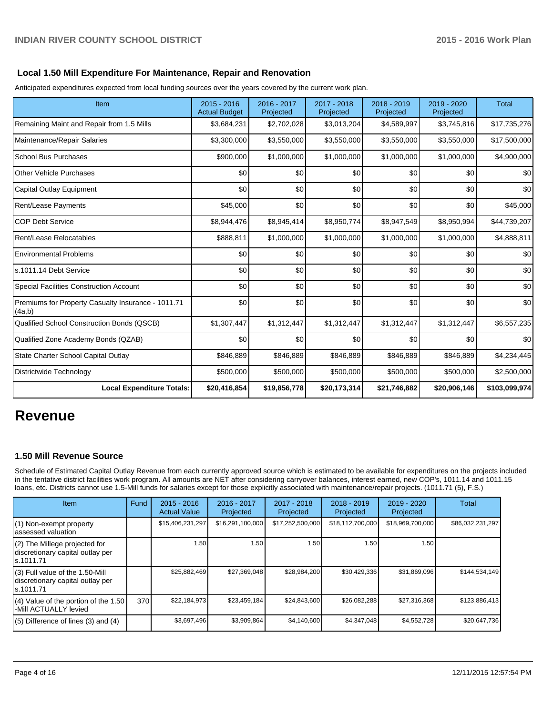### **Local 1.50 Mill Expenditure For Maintenance, Repair and Renovation**

Anticipated expenditures expected from local funding sources over the years covered by the current work plan.

| Item                                                         | 2015 - 2016<br><b>Actual Budget</b> | 2016 - 2017<br>Projected | 2017 - 2018<br>Projected | 2018 - 2019<br>Projected | 2019 - 2020<br>Projected | <b>Total</b>  |
|--------------------------------------------------------------|-------------------------------------|--------------------------|--------------------------|--------------------------|--------------------------|---------------|
| Remaining Maint and Repair from 1.5 Mills                    | \$3,684,231                         | \$2,702,028              | \$3,013,204              | \$4,589,997              | \$3,745,816              | \$17,735,276  |
| Maintenance/Repair Salaries                                  | \$3,300,000                         | \$3,550,000              | \$3,550,000              | \$3,550,000              | \$3,550,000              | \$17,500,000  |
| <b>School Bus Purchases</b>                                  | \$900,000                           | \$1,000,000              | \$1,000,000              | \$1,000,000              | \$1,000,000              | \$4,900,000   |
| <b>Other Vehicle Purchases</b>                               | \$0                                 | \$0                      | \$0                      | \$0                      | \$0                      | \$0           |
| Capital Outlay Equipment                                     | \$0                                 | \$0                      | \$0                      | \$0                      | \$0                      | \$0           |
| Rent/Lease Payments                                          | \$45,000                            | \$0                      | \$0                      | \$0                      | \$0                      | \$45,000      |
| <b>COP Debt Service</b>                                      | \$8,944,476                         | \$8,945,414              | \$8,950,774              | \$8,947,549              | \$8,950,994              | \$44,739,207  |
| Rent/Lease Relocatables                                      | \$888,811                           | \$1,000,000              | \$1,000,000              | \$1,000,000              | \$1,000,000              | \$4,888,811   |
| <b>Environmental Problems</b>                                | \$0                                 | \$0                      | \$0                      | \$0                      | \$0                      | \$0           |
| ls.1011.14 Debt Service                                      | \$0                                 | \$0                      | \$0                      | \$0                      | \$0                      | \$0           |
| Special Facilities Construction Account                      | \$0                                 | \$0                      | \$0                      | \$0                      | \$0                      | \$0           |
| Premiums for Property Casualty Insurance - 1011.71<br>(4a,b) | \$0                                 | \$0                      | \$0                      | \$0                      | \$0                      | \$0           |
| Qualified School Construction Bonds (QSCB)                   | \$1,307,447                         | \$1,312,447              | \$1,312,447              | \$1,312,447              | \$1,312,447              | \$6,557,235   |
| Qualified Zone Academy Bonds (QZAB)                          | \$0                                 | \$0                      | \$0                      | \$0                      | \$0                      | \$0           |
| State Charter School Capital Outlay                          | \$846,889                           | \$846,889                | \$846,889                | \$846,889                | \$846,889                | \$4,234,445   |
| Districtwide Technology                                      | \$500,000                           | \$500,000                | \$500,000                | \$500,000                | \$500,000                | \$2,500,000   |
| <b>Local Expenditure Totals:</b>                             | \$20,416,854                        | \$19,856,778             | \$20,173,314             | \$21,746,882             | \$20,906,146             | \$103,099,974 |

# **Revenue**

#### **1.50 Mill Revenue Source**

Schedule of Estimated Capital Outlay Revenue from each currently approved source which is estimated to be available for expenditures on the projects included in the tentative district facilities work program. All amounts are NET after considering carryover balances, interest earned, new COP's, 1011.14 and 1011.15 loans, etc. Districts cannot use 1.5-Mill funds for salaries except for those explicitly associated with maintenance/repair projects. (1011.71 (5), F.S.)

| Item                                                                                | Fund | $2015 - 2016$<br><b>Actual Value</b> | $2016 - 2017$<br>Projected | $2017 - 2018$<br>Projected | $2018 - 2019$<br>Projected | $2019 - 2020$<br>Projected | Total            |
|-------------------------------------------------------------------------------------|------|--------------------------------------|----------------------------|----------------------------|----------------------------|----------------------------|------------------|
| (1) Non-exempt property<br>lassessed valuation                                      |      | \$15,406,231,297                     | \$16,291,100,000           | \$17,252,500,000           | \$18,112,700,000           | \$18,969,700,000           | \$86,032,231,297 |
| (2) The Millege projected for<br>discretionary capital outlay per<br>ls.1011.71     |      | 1.50                                 | 1.50                       | 1.50                       | 1.50                       | 1.50 I                     |                  |
| $(3)$ Full value of the 1.50-Mill<br>discretionary capital outlay per<br>ls.1011.71 |      | \$25,882,469                         | \$27,369,048               | \$28,984,200               | \$30,429,336               | \$31,869,096               | \$144.534.149    |
| $(4)$ Value of the portion of the 1.50<br>I-Mill ACTUALLY levied                    | 370  | \$22,184,973                         | \$23,459,184               | \$24,843,600               | \$26,082,288               | \$27,316,368               | \$123,886,413    |
| $(5)$ Difference of lines (3) and (4)                                               |      | \$3,697,496                          | \$3,909,864                | \$4,140,600                | \$4,347,048                | \$4,552,728                | \$20,647,736     |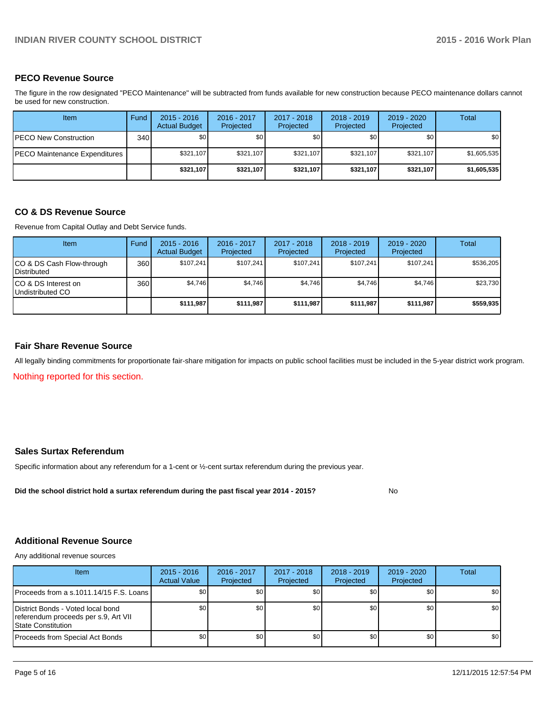#### **PECO Revenue Source**

The figure in the row designated "PECO Maintenance" will be subtracted from funds available for new construction because PECO maintenance dollars cannot be used for new construction.

| <b>Item</b>                   | Fund | $2015 - 2016$<br><b>Actual Budget</b> | 2016 - 2017<br>Projected | 2017 - 2018<br>Projected | $2018 - 2019$<br>Projected | $2019 - 2020$<br>Projected | Total       |
|-------------------------------|------|---------------------------------------|--------------------------|--------------------------|----------------------------|----------------------------|-------------|
| <b>PECO New Construction</b>  | 340  | \$0                                   | \$0                      | \$0                      | \$0 I                      | \$0 <sub>1</sub>           | \$0         |
| PECO Maintenance Expenditures |      | \$321.107                             | \$321.107                | \$321,107                | \$321.107                  | \$321.107                  | \$1,605,535 |
|                               |      | \$321,107                             | \$321.107                | \$321,107                | \$321.107                  | \$321.107                  | \$1,605,535 |

#### **CO & DS Revenue Source**

Revenue from Capital Outlay and Debt Service funds.

| <b>Item</b>                                     | Fund | $2015 - 2016$<br><b>Actual Budget</b> | $2016 - 2017$<br>Projected | $2017 - 2018$<br>Projected | $2018 - 2019$<br>Projected | $2019 - 2020$<br>Projected | Total     |
|-------------------------------------------------|------|---------------------------------------|----------------------------|----------------------------|----------------------------|----------------------------|-----------|
| CO & DS Cash Flow-through<br><b>Distributed</b> | 360  | \$107.241                             | \$107.241                  | \$107.241                  | \$107.241                  | \$107.241                  | \$536,205 |
| CO & DS Interest on<br>Undistributed CO         | 360  | \$4,746                               | \$4,746                    | \$4,746                    | \$4,746                    | \$4,746                    | \$23,730  |
|                                                 |      | \$111,987                             | \$111,987                  | \$111,987                  | \$111,987                  | \$111,987                  | \$559,935 |

#### **Fair Share Revenue Source**

All legally binding commitments for proportionate fair-share mitigation for impacts on public school facilities must be included in the 5-year district work program.

Nothing reported for this section.

### **Sales Surtax Referendum**

Specific information about any referendum for a 1-cent or ½-cent surtax referendum during the previous year.

**Did the school district hold a surtax referendum during the past fiscal year 2014 - 2015?**

No

### **Additional Revenue Source**

Any additional revenue sources

| Item                                                                                              | $2015 - 2016$<br><b>Actual Value</b> | 2016 - 2017<br>Projected | 2017 - 2018<br>Projected | $2018 - 2019$<br>Projected | $2019 - 2020$<br>Projected | Total |
|---------------------------------------------------------------------------------------------------|--------------------------------------|--------------------------|--------------------------|----------------------------|----------------------------|-------|
| IProceeds from a s.1011.14/15 F.S. Loans I                                                        | \$0                                  | \$0 <sub>1</sub>         | \$0                      | \$0 <sub>0</sub>           | \$0                        | \$0   |
| District Bonds - Voted local bond<br>referendum proceeds per s.9, Art VII<br>l State Constitution | \$0                                  | \$0                      | \$0                      | \$0 <sub>1</sub>           | \$0                        | \$0   |
| Proceeds from Special Act Bonds                                                                   | \$0                                  | \$0 <sub>1</sub>         | \$0                      | \$0 <sub>0</sub>           | \$0                        | \$0   |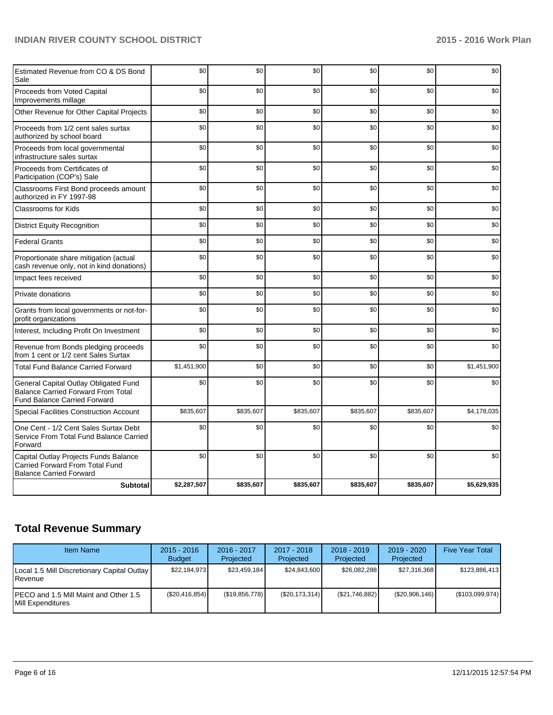| Estimated Revenue from CO & DS Bond<br>Sale                                                                               | \$0         | \$0       | \$0       | \$0       | \$0       | \$0         |
|---------------------------------------------------------------------------------------------------------------------------|-------------|-----------|-----------|-----------|-----------|-------------|
| Proceeds from Voted Capital<br>Improvements millage                                                                       | \$0         | \$0       | \$0       | \$0       | \$0       | \$0         |
| Other Revenue for Other Capital Projects                                                                                  | \$0         | \$0       | \$0       | \$0       | \$0       | \$0         |
| Proceeds from 1/2 cent sales surtax<br>authorized by school board                                                         | \$0         | \$0       | \$0       | \$0       | \$0       | \$0         |
| Proceeds from local governmental<br>infrastructure sales surtax                                                           | \$0         | \$0       | \$0       | \$0       | \$0       | \$0         |
| Proceeds from Certificates of<br>Participation (COP's) Sale                                                               | \$0         | \$0       | \$0       | \$0       | \$0       | \$0         |
| Classrooms First Bond proceeds amount<br>authorized in FY 1997-98                                                         | \$0         | \$0       | \$0       | \$0       | \$0       | \$0         |
| <b>Classrooms for Kids</b>                                                                                                | \$0         | \$0       | \$0       | \$0       | \$0       | \$0         |
| <b>District Equity Recognition</b>                                                                                        | \$0         | \$0       | \$0       | \$0       | \$0       | \$0         |
| <b>Federal Grants</b>                                                                                                     | \$0         | \$0       | \$0       | \$0       | \$0       | \$0         |
| Proportionate share mitigation (actual<br>cash revenue only, not in kind donations)                                       | \$0         | \$0       | \$0       | \$0       | \$0       | \$0         |
| Impact fees received                                                                                                      | \$0         | \$0       | \$0       | \$0       | \$0       | \$0         |
| Private donations                                                                                                         | \$0         | \$0       | \$0       | \$0       | \$0       | \$0         |
| Grants from local governments or not-for-<br>profit organizations                                                         | \$0         | \$0       | \$0       | \$0       | \$0       | \$0         |
| Interest, Including Profit On Investment                                                                                  | \$0         | \$0       | \$0       | \$0       | \$0       | \$0         |
| Revenue from Bonds pledging proceeds<br>from 1 cent or 1/2 cent Sales Surtax                                              | \$0         | \$0       | \$0       | \$0       | \$0       | \$0         |
| <b>Total Fund Balance Carried Forward</b>                                                                                 | \$1,451,900 | \$0       | \$0       | \$0       | \$0       | \$1,451,900 |
| General Capital Outlay Obligated Fund<br><b>Balance Carried Forward From Total</b><br><b>Fund Balance Carried Forward</b> | \$0         | \$0       | \$0       | \$0       | \$0       | \$0         |
| <b>Special Facilities Construction Account</b>                                                                            | \$835,607   | \$835,607 | \$835,607 | \$835,607 | \$835,607 | \$4,178,035 |
| One Cent - 1/2 Cent Sales Surtax Debt<br>Service From Total Fund Balance Carried<br>Forward                               | \$0         | \$0       | \$0       | \$0       | \$0       | \$0         |
| Capital Outlay Projects Funds Balance<br>Carried Forward From Total Fund<br><b>Balance Carried Forward</b>                | \$0         | \$0       | \$0       | \$0       | \$0       | \$0         |
| <b>Subtotal</b>                                                                                                           | \$2,287,507 | \$835,607 | \$835,607 | \$835,607 | \$835,607 | \$5,629,935 |

# **Total Revenue Summary**

| <b>Item Name</b>                                                | $2015 - 2016$<br><b>Budget</b> | 2016 - 2017<br>Projected | $2017 - 2018$<br>Projected | $2018 - 2019$<br>Projected | $2019 - 2020$<br>Projected | <b>Five Year Total</b> |
|-----------------------------------------------------------------|--------------------------------|--------------------------|----------------------------|----------------------------|----------------------------|------------------------|
| Local 1.5 Mill Discretionary Capital Outlay<br><b>I</b> Revenue | \$22.184.973                   | \$23.459.184             | \$24,843,600               | \$26,082,288               | \$27.316.368               | \$123.886.413          |
| IPECO and 1.5 Mill Maint and Other 1.5<br>Mill Expenditures     | (\$20,416,854)                 | (\$19,856,778)           | (S20, 173, 314)            | (\$21,746,882)             | (\$20,906,146)             | (\$103,099,974)        |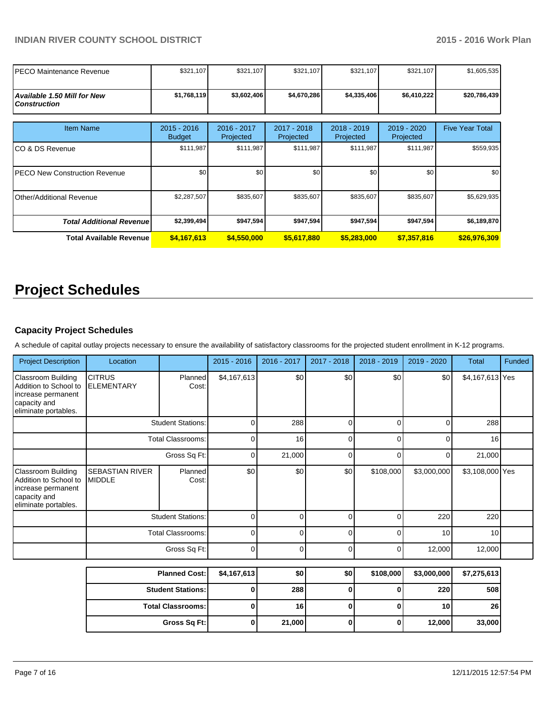| IPECO Maintenance Revenue                                 | \$321,107                      | \$321,107                | \$321,107                | \$321,107                | \$321,107                | \$1,605,535            |
|-----------------------------------------------------------|--------------------------------|--------------------------|--------------------------|--------------------------|--------------------------|------------------------|
| <b>Available 1.50 Mill for New</b><br><b>Construction</b> | \$1,768,119                    | \$3,602,406              | \$4,670,286              | \$4,335,406              | \$6,410,222              | \$20,786,439           |
| <b>Item Name</b>                                          | $2015 - 2016$<br><b>Budget</b> | 2016 - 2017<br>Projected | 2017 - 2018<br>Projected | 2018 - 2019<br>Projected | 2019 - 2020<br>Projected | <b>Five Year Total</b> |
| ICO & DS Revenue                                          | \$111,987                      | \$111,987                | \$111,987                | \$111,987                | \$111,987                | \$559,935              |
| <b>IPECO New Construction Revenue</b>                     | \$0                            | \$0                      | \$0                      | \$0                      | \$0                      | \$0                    |
| Other/Additional Revenue                                  | \$2,287,507                    | \$835,607                | \$835,607                | \$835,607                | \$835,607                | \$5,629,935            |
| <b>Total Additional Revenuel</b>                          | \$2,399,494                    | \$947,594                | \$947,594                | \$947,594                | \$947,594                | \$6,189,870            |
| <b>Total Available Revenue</b>                            | \$4,167,613                    | \$4,550,000              | \$5,617,880              | \$5,283,000              | \$7,357,816              | \$26,976,309           |

# **Project Schedules**

### **Capacity Project Schedules**

A schedule of capital outlay projects necessary to ensure the availability of satisfactory classrooms for the projected student enrollment in K-12 programs.

| <b>Project Description</b>                                                                                       | Location                                |                          | $2015 - 2016$ | $2016 - 2017$ | 2017 - 2018 | $2018 - 2019$ | 2019 - 2020 | <b>Total</b>    | Funded |
|------------------------------------------------------------------------------------------------------------------|-----------------------------------------|--------------------------|---------------|---------------|-------------|---------------|-------------|-----------------|--------|
| <b>Classroom Building</b><br>Addition to School to<br>increase permanent<br>capacity and<br>eliminate portables. | <b>CITRUS</b><br><b>ELEMENTARY</b>      | Planned<br>Cost:         | \$4,167,613   | \$0           | \$0         | \$0           | \$0         | \$4,167,613 Yes |        |
|                                                                                                                  | <b>Student Stations:</b>                |                          | 0             | 288           | U           |               |             | 288             |        |
|                                                                                                                  | <b>Total Classrooms:</b>                |                          | $\Omega$      | 16            | U           | r             | r           | 16              |        |
|                                                                                                                  | Gross Sq Ft:                            |                          | 0             | 21,000        | $\Omega$    | ∩             | n           | 21,000          |        |
| <b>Classroom Building</b><br>Addition to School to<br>increase permanent<br>capacity and<br>eliminate portables. | <b>SEBASTIAN RIVER</b><br><b>MIDDLE</b> | Planned<br>Cost:         | \$0           | \$0           | \$0         | \$108,000     | \$3,000,000 | \$3,108,000 Yes |        |
|                                                                                                                  |                                         | <b>Student Stations:</b> | $\Omega$      |               | ∩           |               | 220         | 220             |        |
|                                                                                                                  | <b>Total Classrooms:</b>                |                          | $\Omega$      | ∩             | U           |               | 10          | 10              |        |
|                                                                                                                  |                                         | Gross Sq Ft:             | $\Omega$      | n             | $\Omega$    |               | 12,000      | 12,000          |        |

| <b>Planned Cost:</b>     | \$4,167,613 | \$0    | \$0 | \$108,000 | \$3,000,000     | \$7,275,613     |
|--------------------------|-------------|--------|-----|-----------|-----------------|-----------------|
| <b>Student Stations:</b> |             | 288    |     |           | 220             | 508             |
| <b>Total Classrooms:</b> |             | 16     |     |           | 10 <sub>1</sub> | 26 <sub>1</sub> |
| Gross Sq Ft:             |             | 21,000 |     |           | 12,000          | 33,000          |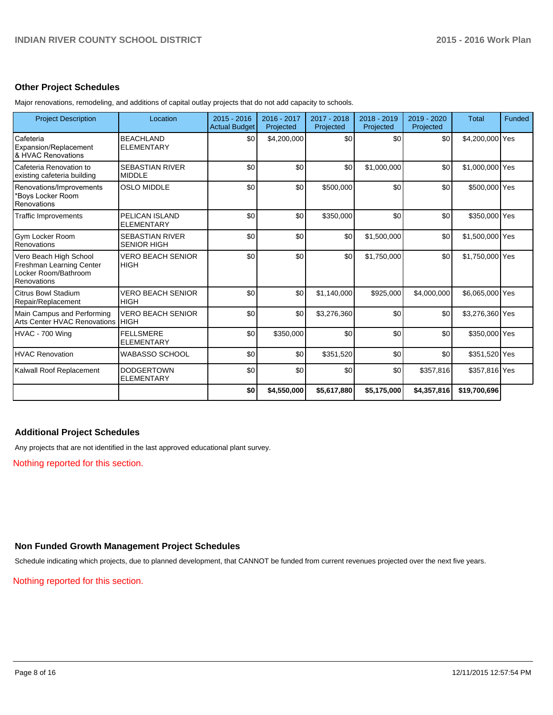#### **Other Project Schedules**

Major renovations, remodeling, and additions of capital outlay projects that do not add capacity to schools.

| <b>Project Description</b>                                                                | Location                                     | $2015 - 2016$<br><b>Actual Budget</b> | 2016 - 2017<br>Projected | 2017 - 2018<br>Projected | 2018 - 2019<br>Projected | 2019 - 2020<br>Projected | <b>Total</b>    | Funded |
|-------------------------------------------------------------------------------------------|----------------------------------------------|---------------------------------------|--------------------------|--------------------------|--------------------------|--------------------------|-----------------|--------|
| Cafeteria<br>Expansion/Replacement<br>& HVAC Renovations                                  | <b>BEACHLAND</b><br><b>ELEMENTARY</b>        | \$0                                   | \$4,200,000              | \$0                      | \$0                      | \$0                      | \$4,200,000 Yes |        |
| Cafeteria Renovation to<br>existing cafeteria building                                    | <b>SEBASTIAN RIVER</b><br><b>MIDDLE</b>      | \$0                                   | \$0                      | \$0                      | \$1,000,000              | \$0                      | \$1,000,000 Yes |        |
| Renovations/Improvements<br>*Boys Locker Room<br>Renovations                              | <b>OSLO MIDDLE</b>                           | \$0                                   | \$0                      | \$500,000                | \$0                      | \$0                      | \$500,000 Yes   |        |
| <b>Traffic Improvements</b>                                                               | PELICAN ISLAND<br><b>ELEMENTARY</b>          | \$0                                   | \$0                      | \$350,000                | \$0                      | \$0                      | \$350,000 Yes   |        |
| Gym Locker Room<br>Renovations                                                            | <b>SEBASTIAN RIVER</b><br><b>SENIOR HIGH</b> | \$0                                   | \$0                      | \$0                      | \$1,500,000              | \$0                      | \$1,500,000 Yes |        |
| Vero Beach High School<br>Freshman Learning Center<br>Locker Room/Bathroom<br>Renovations | <b>VERO BEACH SENIOR</b><br><b>HIGH</b>      | \$0                                   | \$0                      | \$0                      | \$1,750,000              | \$0                      | \$1,750,000 Yes |        |
| Citrus Bowl Stadium<br>Repair/Replacement                                                 | <b>VERO BEACH SENIOR</b><br><b>HIGH</b>      | \$0                                   | \$0                      | \$1,140,000              | \$925,000                | \$4,000,000              | \$6,065,000 Yes |        |
| Main Campus and Performing<br>Arts Center HVAC Renovations                                | <b>VERO BEACH SENIOR</b><br><b>HIGH</b>      | \$0                                   | \$0                      | \$3,276,360              | \$0                      | \$0                      | \$3,276,360 Yes |        |
| HVAC - 700 Wing                                                                           | <b>FELLSMERE</b><br><b>ELEMENTARY</b>        | \$0                                   | \$350,000                | \$0                      | \$0                      | \$0                      | \$350,000 Yes   |        |
| <b>HVAC Renovation</b>                                                                    | <b>WABASSO SCHOOL</b>                        | \$0                                   | \$0                      | \$351,520                | \$0                      | \$0                      | \$351,520 Yes   |        |
| Kalwall Roof Replacement                                                                  | <b>DODGERTOWN</b><br><b>ELEMENTARY</b>       | \$0                                   | \$0                      | \$0                      | \$0                      | \$357,816                | \$357,816 Yes   |        |
|                                                                                           |                                              | \$0                                   | \$4,550,000              | \$5,617,880              | \$5,175,000              | \$4,357,816              | \$19,700,696    |        |

#### **Additional Project Schedules**

Any projects that are not identified in the last approved educational plant survey.

Nothing reported for this section.

## **Non Funded Growth Management Project Schedules**

Schedule indicating which projects, due to planned development, that CANNOT be funded from current revenues projected over the next five years.

Nothing reported for this section.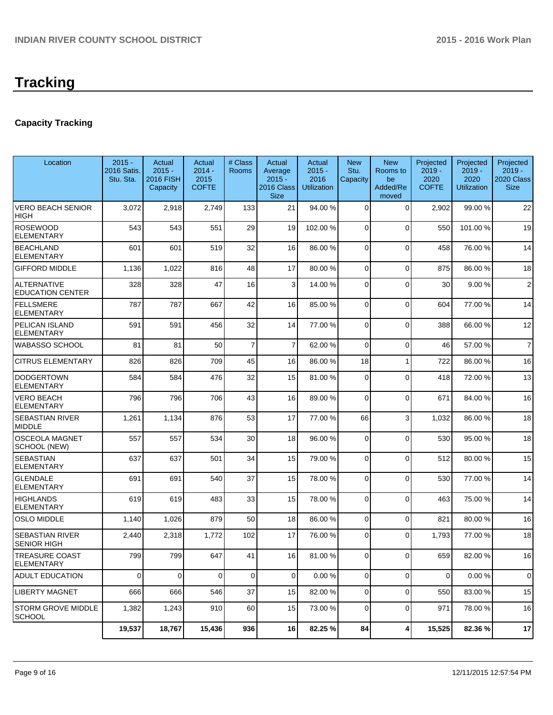# **Tracking**

# **Capacity Tracking**

| Location                                      | $2015 -$<br>2016 Satis.<br>Stu. Sta. | Actual<br>$2015 -$<br><b>2016 FISH</b><br>Capacity | Actual<br>$2014 -$<br>2015<br><b>COFTE</b> | # Class<br><b>Rooms</b> | Actual<br>Average<br>$2015 -$<br>2016 Class<br><b>Size</b> | Actual<br>$2015 -$<br>2016<br><b>Utilization</b> | <b>New</b><br>Stu.<br>Capacity | <b>New</b><br>Rooms to<br>be<br>Added/Re<br>moved | Projected<br>$2019 -$<br>2020<br><b>COFTE</b> | Projected<br>$2019 -$<br>2020<br><b>Utilization</b> | Projected<br>$2019 -$<br>2020 Class<br><b>Size</b> |
|-----------------------------------------------|--------------------------------------|----------------------------------------------------|--------------------------------------------|-------------------------|------------------------------------------------------------|--------------------------------------------------|--------------------------------|---------------------------------------------------|-----------------------------------------------|-----------------------------------------------------|----------------------------------------------------|
| <b>VERO BEACH SENIOR</b><br>HIGH              | 3,072                                | 2,918                                              | 2,749                                      | 133                     | 21                                                         | 94.00 %                                          | 0                              | $\Omega$                                          | 2,902                                         | 99.00 %                                             | 22                                                 |
| <b>ROSEWOOD</b><br>ELEMENTARY                 | 543                                  | 543                                                | 551                                        | 29                      | 19                                                         | 102.00 %                                         | 0                              | $\Omega$                                          | 550                                           | 101.00%                                             | 19                                                 |
| <b>BEACHLAND</b><br><b>ELEMENTARY</b>         | 601                                  | 601                                                | 519                                        | 32                      | 16                                                         | 86.00 %                                          | 0                              | $\Omega$                                          | 458                                           | 76.00%                                              | 14                                                 |
| <b>GIFFORD MIDDLE</b>                         | 1,136                                | 1,022                                              | 816                                        | 48                      | 17                                                         | 80.00 %                                          | 0                              | $\Omega$                                          | 875                                           | 86.00%                                              | 18                                                 |
| <b>ALTERNATIVE</b><br><b>EDUCATION CENTER</b> | 328                                  | 328                                                | 47                                         | 16                      | 3                                                          | 14.00 %                                          | 0                              | $\Omega$                                          | 30                                            | 9.00%                                               | $\overline{c}$                                     |
| <b>FELLSMERE</b><br><b>ELEMENTARY</b>         | 787                                  | 787                                                | 667                                        | 42                      | 16                                                         | 85.00 %                                          | 0                              | $\Omega$                                          | 604                                           | 77.00 %                                             | 14                                                 |
| PELICAN ISLAND<br>ELEMENTARY                  | 591                                  | 591                                                | 456                                        | 32                      | 14                                                         | 77.00 %                                          | 0                              | $\Omega$                                          | 388                                           | 66.00 %                                             | 12                                                 |
| WABASSO SCHOOL                                | 81                                   | 81                                                 | 50                                         | $\overline{7}$          | $\overline{7}$                                             | 62.00%                                           | 0                              | $\Omega$                                          | 46                                            | 57.00 %                                             | $\overline{7}$                                     |
| <b>CITRUS ELEMENTARY</b>                      | 826                                  | 826                                                | 709                                        | 45                      | 16                                                         | 86.00 %                                          | 18                             | 1                                                 | 722                                           | 86.00 %                                             | 16                                                 |
| <b>DODGERTOWN</b><br><b>ELEMENTARY</b>        | 584                                  | 584                                                | 476                                        | 32                      | 15                                                         | 81.00 %                                          | 0                              | $\Omega$                                          | 418                                           | 72.00 %                                             | 13                                                 |
| <b>VERO BEACH</b><br><b>ELEMENTARY</b>        | 796                                  | 796                                                | 706                                        | 43                      | 16                                                         | 89.00 %                                          | $\Omega$                       | $\Omega$                                          | 671                                           | 84.00%                                              | 16                                                 |
| <b>SEBASTIAN RIVER</b><br><b>MIDDLE</b>       | 1,261                                | 1,134                                              | 876                                        | 53                      | 17                                                         | 77.00 %                                          | 66                             | $\mathbf{3}$                                      | 1,032                                         | 86.00 %                                             | 18                                                 |
| <b>OSCEOLA MAGNET</b><br><b>SCHOOL (NEW)</b>  | 557                                  | 557                                                | 534                                        | 30                      | 18                                                         | 96.00 %                                          | $\mathbf 0$                    | $\Omega$                                          | 530                                           | 95.00 %                                             | 18                                                 |
| <b>SEBASTIAN</b><br><b>ELEMENTARY</b>         | 637                                  | 637                                                | 501                                        | 34                      | 15                                                         | 79.00 %                                          | 0                              | $\Omega$                                          | 512                                           | 80.00%                                              | 15                                                 |
| <b>GLENDALE</b><br><b>ELEMENTARY</b>          | 691                                  | 691                                                | 540                                        | 37                      | 15                                                         | 78.00 %                                          | $\Omega$                       | $\Omega$                                          | 530                                           | 77.00 %                                             | 14                                                 |
| <b>HIGHLANDS</b><br><b>ELEMENTARY</b>         | 619                                  | 619                                                | 483                                        | 33                      | 15                                                         | 78.00 %                                          | 0                              | $\Omega$                                          | 463                                           | 75.00 %                                             | 14                                                 |
| <b>OSLO MIDDLE</b>                            | 1,140                                | 1,026                                              | 879                                        | 50                      | 18                                                         | 86.00 %                                          | 0                              | $\Omega$                                          | 821                                           | 80.00%                                              | 16                                                 |
| SEBASTIAN RIVER<br><b>SENIOR HIGH</b>         | 2,440                                | 2,318                                              | 1,772                                      | 102                     | 17                                                         | 76.00 %                                          | 0                              | $\Omega$                                          | 1,793                                         | 77.00 %                                             | 18                                                 |
| TREASURE COAST<br><b>ELEMENTARY</b>           | 799                                  | 799                                                | 647                                        | 41                      | 16 I                                                       | 81.00 %                                          | $\Omega$                       | $\Omega$                                          | 659                                           | 82.00%                                              | 16                                                 |
| ADULT EDUCATION                               | $\overline{0}$                       | 0                                                  | $\overline{0}$                             | $\mathbf 0$             | $\overline{0}$                                             | 0.00%                                            | $\overline{0}$                 | $\overline{0}$                                    | $\overline{0}$                                | 0.00%                                               | 0                                                  |
| LIBERTY MAGNET                                | 666                                  | 666                                                | 546                                        | 37                      | 15                                                         | 82.00 %                                          | $\overline{0}$                 | $\overline{0}$                                    | 550                                           | 83.00 %                                             | 15                                                 |
| <b>STORM GROVE MIDDLE</b><br><b>SCHOOL</b>    | 1,382                                | 1,243                                              | 910                                        | 60                      | 15                                                         | 73.00 %                                          | 0                              | $\mathbf 0$                                       | 971                                           | 78.00 %                                             | 16                                                 |
|                                               | 19,537                               | 18,767                                             | 15,436                                     | 936                     | 16                                                         | 82.25 %                                          | 84                             | $\vert$                                           | 15,525                                        | 82.36 %                                             | 17                                                 |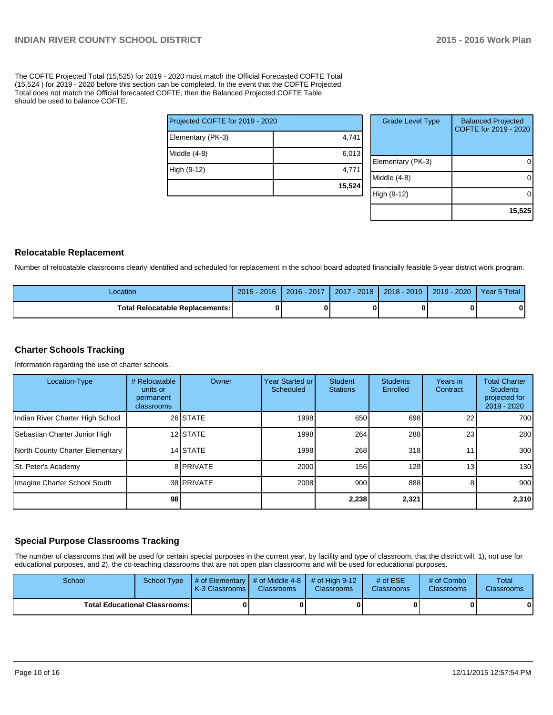The COFTE Projected Total (15,525) for 2019 - 2020 must match the Official Forecasted COFTE Total (15,524 ) for 2019 - 2020 before this section can be completed. In the event that the COFTE Projected Total does not match the Official forecasted COFTE, then the Balanced Projected COFTE Table should be used to balance COFTE.

| Projected COFTE for 2019 - 2020 |        |  |  |  |  |
|---------------------------------|--------|--|--|--|--|
| Elementary (PK-3)               | 4,741  |  |  |  |  |
| Middle $(4-8)$                  | 6,013  |  |  |  |  |
| High (9-12)                     | 4,771  |  |  |  |  |
|                                 | 15,524 |  |  |  |  |

| <b>Grade Level Type</b> | <b>Balanced Projected</b><br>COFTE for 2019 - 2020 |
|-------------------------|----------------------------------------------------|
| Elementary (PK-3)       |                                                    |
| Middle (4-8)            |                                                    |
| High (9-12)             |                                                    |
|                         | 15,525                                             |

### **Relocatable Replacement**

Number of relocatable classrooms clearly identified and scheduled for replacement in the school board adopted financially feasible 5-year district work program.

| -ocation                                 | $2015 - 2016$ | 2016 - 2017 | 2017 - 2018 | 2018 - 2019 | $2019 - 2020$ | Year 5 Total |
|------------------------------------------|---------------|-------------|-------------|-------------|---------------|--------------|
| <b>Total Relocatable Replacements: I</b> |               |             |             |             |               |              |

### **Charter Schools Tracking**

Information regarding the use of charter schools.

| Location-Type                    | # Relocatable<br>units or<br>permanent<br>classrooms | Owner             | Year Started or I<br>Scheduled | <b>Student</b><br><b>Stations</b> | <b>Students</b><br>Enrolled | Years in<br>Contract | <b>Total Charter</b><br><b>Students</b><br>projected for<br>2019 - 2020 |
|----------------------------------|------------------------------------------------------|-------------------|--------------------------------|-----------------------------------|-----------------------------|----------------------|-------------------------------------------------------------------------|
| Indian River Charter High School |                                                      | 26 STATE          | 1998                           | 650                               | 698                         | 22                   | 700                                                                     |
| Sebastian Charter Junior High    |                                                      | 12 STATE          | 1998                           | 264                               | 288                         | 23                   | 280                                                                     |
| North County Charter Elementary  |                                                      | 14 STATE          | 1998                           | 268                               | 318                         | 11                   | 300                                                                     |
| St. Peter's Academy              |                                                      | 8 PRIVATE         | 2000                           | 156                               | 129 <sup>l</sup>            | 13                   | 130                                                                     |
| Imagine Charter School South     |                                                      | 38 <b>PRIVATE</b> | 2008                           | 900                               | 888                         | 8                    | 900                                                                     |
|                                  | 98                                                   |                   |                                | 2,238                             | 2,321                       |                      | 2,310                                                                   |

# **Special Purpose Classrooms Tracking**

The number of classrooms that will be used for certain special purposes in the current year, by facility and type of classroom, that the district will, 1), not use for educational purposes, and 2), the co-teaching classrooms that are not open plan classrooms and will be used for educational purposes.

| School                                 | School Type | $\parallel$ # of Elementary $\parallel$ # of Middle 4-8 $\parallel$ # of High 9-12<br>K-3 Classrooms I | <b>Classrooms</b> | <b>Classrooms</b> | # of $ESE$<br><b>Classrooms</b> | # of Combo<br><b>Classrooms</b> | Total<br><b>Classrooms</b> |
|----------------------------------------|-------------|--------------------------------------------------------------------------------------------------------|-------------------|-------------------|---------------------------------|---------------------------------|----------------------------|
| <b>Total Educational Classrooms: I</b> |             |                                                                                                        | 0                 |                   |                                 | 0                               | $\mathbf{0}$               |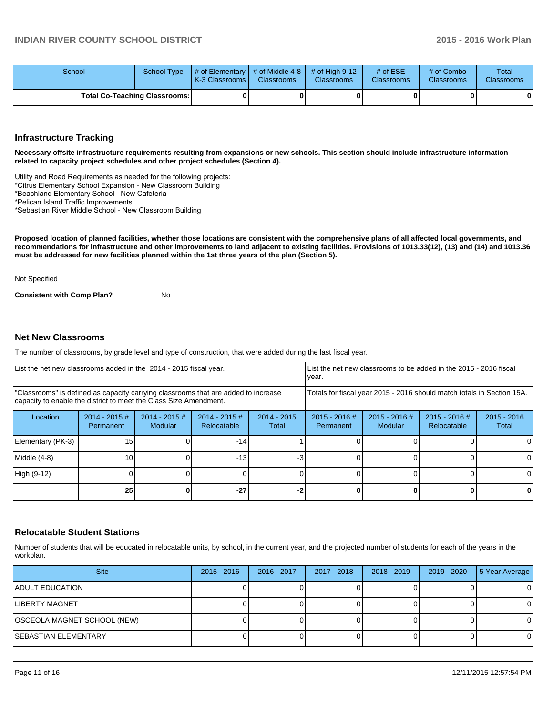| School                               | School Type | $\parallel$ # of Elementary $\parallel$ # of Middle 4-8 $\parallel$ # of High 9-12<br><b>IK-3 Classrooms L</b> | <b>Classrooms</b> | <b>Classrooms</b> | $#$ of $ESE$<br><b>Classrooms</b> | # of Combo<br><b>Classrooms</b> | Total<br><b>Classrooms</b> |
|--------------------------------------|-------------|----------------------------------------------------------------------------------------------------------------|-------------------|-------------------|-----------------------------------|---------------------------------|----------------------------|
| <b>Total Co-Teaching Classrooms:</b> |             |                                                                                                                | 01                |                   | OΙ                                | 0                               | $\mathbf{0}$               |

#### **Infrastructure Tracking**

**Necessary offsite infrastructure requirements resulting from expansions or new schools. This section should include infrastructure information related to capacity project schedules and other project schedules (Section 4).**

Utility and Road Requirements as needed for the following projects:

\*Citrus Elementary School Expansion - New Classroom Building

\*Beachland Elementary School - New Cafeteria

\*Pelican Island Traffic Improvements

\*Sebastian River Middle School - New Classroom Building

**Proposed location of planned facilities, whether those locations are consistent with the comprehensive plans of all affected local governments, and recommendations for infrastructure and other improvements to land adjacent to existing facilities. Provisions of 1013.33(12), (13) and (14) and 1013.36 must be addressed for new facilities planned within the 1st three years of the plan (Section 5).**

Not Specified

**Consistent with Comp Plan?** No

#### **Net New Classrooms**

The number of classrooms, by grade level and type of construction, that were added during the last fiscal year.

| List the net new classrooms added in the 2014 - 2015 fiscal year.                                                                                       |                              |                            |                                | List the net new classrooms to be added in the 2015 - 2016 fiscal<br>Ivear. |                            |                          |                                |                        |
|---------------------------------------------------------------------------------------------------------------------------------------------------------|------------------------------|----------------------------|--------------------------------|-----------------------------------------------------------------------------|----------------------------|--------------------------|--------------------------------|------------------------|
| "Classrooms" is defined as capacity carrying classrooms that are added to increase<br>capacity to enable the district to meet the Class Size Amendment. |                              |                            |                                | Totals for fiscal year 2015 - 2016 should match totals in Section 15A.      |                            |                          |                                |                        |
| Location                                                                                                                                                | $2014 - 2015$ #<br>Permanent | $2014 - 2015$ #<br>Modular | $2014 - 2015$ #<br>Relocatable | $2014 - 2015$<br>Total                                                      | 2015 - 2016 #<br>Permanent | 2015 - 2016 #<br>Modular | $2015 - 2016$ #<br>Relocatable | $2015 - 2016$<br>Total |
| Elementary (PK-3)                                                                                                                                       | 15 <sup>1</sup>              |                            | $-14$                          |                                                                             |                            |                          |                                | 0                      |
| Middle (4-8)                                                                                                                                            | 10 <sup>1</sup>              |                            | $-13$                          | $-3$                                                                        |                            |                          |                                | 0                      |
| High (9-12)                                                                                                                                             |                              |                            |                                |                                                                             |                            |                          |                                | $\Omega$               |
|                                                                                                                                                         | 25 <sub>l</sub>              |                            | $-27$                          |                                                                             |                            |                          |                                | 0                      |

#### **Relocatable Student Stations**

Number of students that will be educated in relocatable units, by school, in the current year, and the projected number of students for each of the years in the workplan.

| <b>Site</b>                 | $2015 - 2016$ | 2016 - 2017 | 2017 - 2018 | $2018 - 2019$ | 2019 - 2020 | 5 Year Average |
|-----------------------------|---------------|-------------|-------------|---------------|-------------|----------------|
| IADULT EDUCATION            |               |             |             |               |             | 0              |
| <b>ILIBERTY MAGNET</b>      |               |             |             |               |             | $\Omega$       |
| OSCEOLA MAGNET SCHOOL (NEW) |               |             |             |               |             | 0              |
| ISEBASTIAN ELEMENTARY       |               |             |             |               |             | $\Omega$       |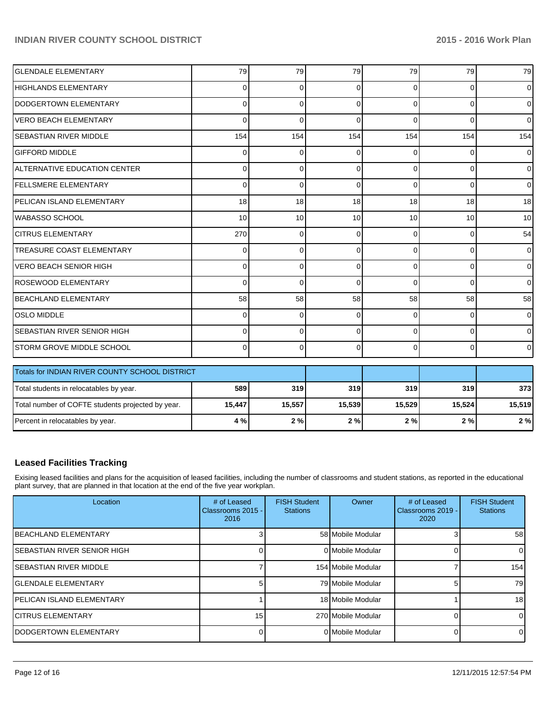| <b>GLENDALE ELEMENTARY</b>                        | 79       | 79          | 79       | 79             | 79             | 79             |
|---------------------------------------------------|----------|-------------|----------|----------------|----------------|----------------|
| <b>HIGHLANDS ELEMENTARY</b>                       | 0        | $\Omega$    | $\Omega$ | $\Omega$       | $\Omega$       | $\overline{0}$ |
| DODGERTOWN ELEMENTARY                             | 0        | $\Omega$    | $\Omega$ | $\Omega$       | $\Omega$       | $\overline{0}$ |
| <b>VERO BEACH ELEMENTARY</b>                      | $\Omega$ | $\Omega$    | $\Omega$ | $\Omega$       | $\Omega$       | $\overline{0}$ |
| <b>SEBASTIAN RIVER MIDDLE</b>                     | 154      | 154         | 154      | 154            | 154            | 154            |
| <b>GIFFORD MIDDLE</b>                             | 0        | $\Omega$    | $\Omega$ | 0              | 0              | $\overline{0}$ |
| ALTERNATIVE EDUCATION CENTER                      | 0        | $\Omega$    | $\Omega$ | $\Omega$       | $\Omega$       | $\overline{0}$ |
| <b>FELLSMERE ELEMENTARY</b>                       | $\Omega$ | $\Omega$    | $\Omega$ | $\Omega$       | $\Omega$       | $\overline{0}$ |
| PELICAN ISLAND ELEMENTARY                         | 18       | 18          | 18       | 18             | 18             | 18             |
| WABASSO SCHOOL                                    | 10       | 10          | 10       | 10             | 10             | 10             |
| <b>CITRUS ELEMENTARY</b>                          | 270      | $\Omega$    | $\Omega$ | $\Omega$       | $\Omega$       | 54             |
| <b>TREASURE COAST ELEMENTARY</b>                  | 0        | $\Omega$    | $\Omega$ | $\Omega$       | 0              | $\overline{0}$ |
| <b>VERO BEACH SENIOR HIGH</b>                     | $\Omega$ | $\Omega$    | $\Omega$ | $\Omega$       | $\Omega$       | $\overline{0}$ |
| <b>ROSEWOOD ELEMENTARY</b>                        | $\Omega$ | $\Omega$    | $\Omega$ | $\Omega$       | $\Omega$       | $\Omega$       |
| BEACHLAND ELEMENTARY                              | 58       | 58          | 58       | 58             | 58             | 58             |
| <b>OSLO MIDDLE</b>                                | 0        | $\mathbf 0$ | 0        | $\overline{0}$ | 0              | $\overline{0}$ |
| <b>SEBASTIAN RIVER SENIOR HIGH</b>                | 0        | $\Omega$    | $\Omega$ | $\Omega$       | $\overline{0}$ | $\overline{0}$ |
| STORM GROVE MIDDLE SCHOOL                         | $\Omega$ | $\Omega$    | $\Omega$ | $\Omega$       | $\Omega$       | $\overline{0}$ |
| Totals for INDIAN RIVER COUNTY SCHOOL DISTRICT    |          |             |          |                |                |                |
| Total students in relocatables by year.           | 589      | 319         | 319      | 319            | 319            | 373            |
| Total number of COFTE students projected by year. | 15,447   | 15,557      | 15,539   | 15,529         | 15,524         | 15,519         |
| Percent in relocatables by year.                  | 4 %      | 2%          | 2%       | 2%             | 2%             | 2%             |

### **Leased Facilities Tracking**

Exising leased facilities and plans for the acquisition of leased facilities, including the number of classrooms and student stations, as reported in the educational plant survey, that are planned in that location at the end of the five year workplan.

| Location                          | # of Leased<br>Classrooms 2015 -<br>2016 | <b>FISH Student</b><br><b>Stations</b> | Owner              | # of Leased<br>Classrooms 2019 -<br>2020 | <b>FISH Student</b><br><b>Stations</b> |
|-----------------------------------|------------------------------------------|----------------------------------------|--------------------|------------------------------------------|----------------------------------------|
| <b>IBEACHLAND ELEMENTARY</b>      |                                          |                                        | 58 Mobile Modular  |                                          | 58                                     |
| ISEBASTIAN RIVER SENIOR HIGH      |                                          |                                        | 0 Mobile Modular   |                                          |                                        |
| ISEBASTIAN RIVER MIDDLE           |                                          |                                        | 154 Mobile Modular |                                          | 154                                    |
| <b>IGLENDALE ELEMENTARY</b>       |                                          |                                        | 79 Mobile Modular  |                                          | 79                                     |
| <b>IPELICAN ISLAND ELEMENTARY</b> |                                          |                                        | 18 Mobile Modular  |                                          | 18 <sub>1</sub>                        |
| <b>ICITRUS ELEMENTARY</b>         | 15 <sup>1</sup>                          |                                        | 270 Mobile Modular |                                          |                                        |
| <b>IDODGERTOWN ELEMENTARY</b>     |                                          |                                        | 0 Mobile Modular   |                                          |                                        |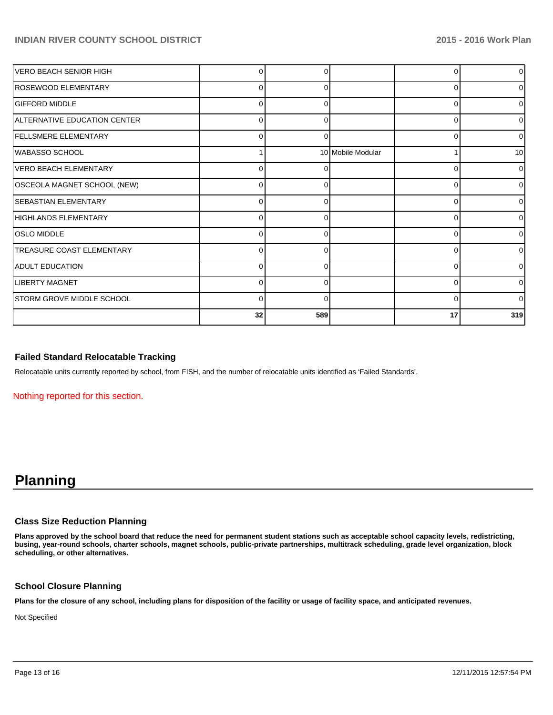| VERO BEACH SENIOR HIGH           |          |     |                   | 0              | 0            |
|----------------------------------|----------|-----|-------------------|----------------|--------------|
| ROSEWOOD ELEMENTARY              | 0        | 0   |                   | 0              | O            |
| <b>GIFFORD MIDDLE</b>            | $\Omega$ |     |                   | 0              |              |
| ALTERNATIVE EDUCATION CENTER     | 0        | 0   |                   | $\Omega$       | 0            |
| <b>FELLSMERE ELEMENTARY</b>      | 0        | O   |                   | $\Omega$       | o            |
| <b>WABASSO SCHOOL</b>            |          |     | 10 Mobile Modular |                | 10           |
| VERO BEACH ELEMENTARY            | 0        |     |                   | 0              | 0            |
| OSCEOLA MAGNET SCHOOL (NEW)      | 0        | O   |                   | $\overline{0}$ | <sup>0</sup> |
| <b>SEBASTIAN ELEMENTARY</b>      | O        |     |                   | 0              |              |
| HIGHLANDS ELEMENTARY             | 0        |     |                   | 0              | 0            |
| <b>OSLO MIDDLE</b>               | 0        | ŋ   |                   | $\Omega$       | <sup>0</sup> |
| <b>TREASURE COAST ELEMENTARY</b> | $\Omega$ |     |                   | 0              | U            |
| <b>ADULT EDUCATION</b>           | 0        |     |                   | $\Omega$       | <sup>0</sup> |
| <b>LIBERTY MAGNET</b>            | 0        | U   |                   | 0              | <sup>0</sup> |
| STORM GROVE MIDDLE SCHOOL        | $\Omega$ | O   |                   | 0              | $\Omega$     |
|                                  | 32       | 589 |                   | 17             | 319          |

#### **Failed Standard Relocatable Tracking**

Relocatable units currently reported by school, from FISH, and the number of relocatable units identified as 'Failed Standards'.

Nothing reported for this section.

# **Planning**

#### **Class Size Reduction Planning**

**Plans approved by the school board that reduce the need for permanent student stations such as acceptable school capacity levels, redistricting, busing, year-round schools, charter schools, magnet schools, public-private partnerships, multitrack scheduling, grade level organization, block scheduling, or other alternatives.**

#### **School Closure Planning**

**Plans for the closure of any school, including plans for disposition of the facility or usage of facility space, and anticipated revenues.**

Not Specified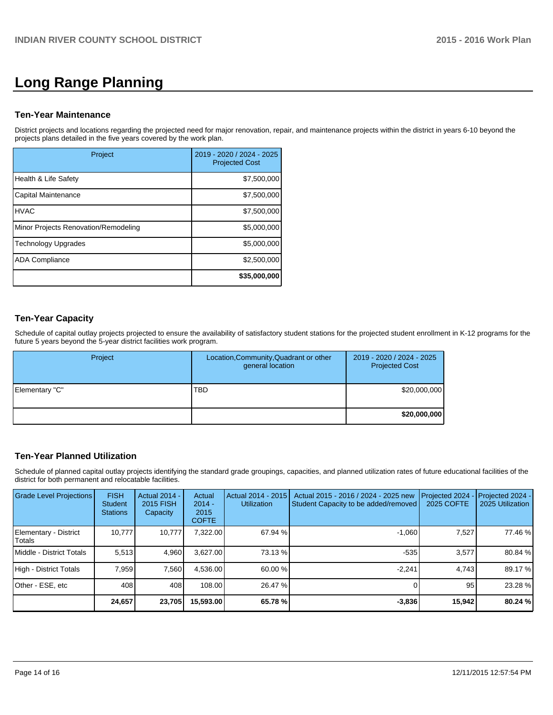# **Long Range Planning**

#### **Ten-Year Maintenance**

District projects and locations regarding the projected need for major renovation, repair, and maintenance projects within the district in years 6-10 beyond the projects plans detailed in the five years covered by the work plan.

| Project                              | 2019 - 2020 / 2024 - 2025<br><b>Projected Cost</b> |
|--------------------------------------|----------------------------------------------------|
| Health & Life Safety                 | \$7,500,000                                        |
| Capital Maintenance                  | \$7,500,000                                        |
| <b>HVAC</b>                          | \$7,500,000                                        |
| Minor Projects Renovation/Remodeling | \$5,000,000                                        |
| <b>Technology Upgrades</b>           | \$5,000,000                                        |
| <b>ADA Compliance</b>                | \$2,500,000                                        |
|                                      | \$35,000,000                                       |

# **Ten-Year Capacity**

Schedule of capital outlay projects projected to ensure the availability of satisfactory student stations for the projected student enrollment in K-12 programs for the future 5 years beyond the 5-year district facilities work program.

| Project        | Location, Community, Quadrant or other<br>general location | 2019 - 2020 / 2024 - 2025<br><b>Projected Cost</b> |
|----------------|------------------------------------------------------------|----------------------------------------------------|
| Elementary "C" | <b>TBD</b>                                                 | \$20,000,000                                       |
|                |                                                            | \$20,000,000                                       |

# **Ten-Year Planned Utilization**

Schedule of planned capital outlay projects identifying the standard grade groupings, capacities, and planned utilization rates of future educational facilities of the district for both permanent and relocatable facilities.

| Grade Level Projections         | <b>FISH</b><br>Student<br><b>Stations</b> | <b>Actual 2014 -</b><br>2015 FISH<br>Capacity | Actual<br>$2014 -$<br>2015<br><b>COFTE</b> | Actual 2014 - 2015<br><b>Utilization</b> | Actual 2015 - 2016 / 2024 - 2025 new<br>Student Capacity to be added/removed | Projected 2024<br>2025 COFTE | Projected 2024 -<br>2025 Utilization |
|---------------------------------|-------------------------------------------|-----------------------------------------------|--------------------------------------------|------------------------------------------|------------------------------------------------------------------------------|------------------------------|--------------------------------------|
| Elementary - District<br>Totals | 10.777                                    | 10.777                                        | 7.322.00                                   | 67.94 %                                  | $-1.060$                                                                     | 7,527                        | 77.46 %                              |
| Middle - District Totals        | 5.513                                     | 4.960                                         | 3.627.00                                   | 73.13 %                                  | $-535$                                                                       | 3,577                        | 80.84 %                              |
| High - District Totals          | 7.959                                     | 7.560                                         | 4.536.00                                   | 60.00%                                   | $-2.241$                                                                     | 4.743                        | 89.17 %                              |
| Other - ESE, etc                | 408                                       | 408                                           | 108.00                                     | 26.47 %                                  |                                                                              | 95                           | 23.28 %                              |
|                                 | 24,657                                    | 23,705                                        | 15,593.00                                  | 65.78 %                                  | $-3,836$                                                                     | 15.942                       | 80.24 %                              |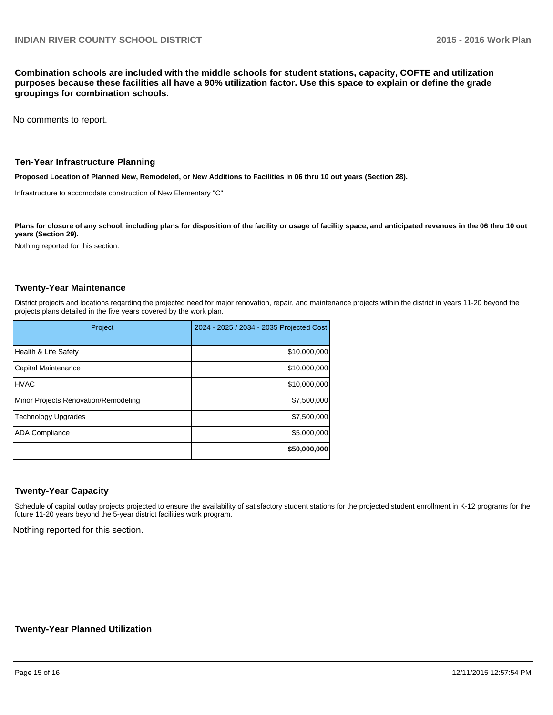**Combination schools are included with the middle schools for student stations, capacity, COFTE and utilization purposes because these facilities all have a 90% utilization factor. Use this space to explain or define the grade groupings for combination schools.**

No comments to report.

#### **Ten-Year Infrastructure Planning**

**Proposed Location of Planned New, Remodeled, or New Additions to Facilities in 06 thru 10 out years (Section 28).**

Infrastructure to accomodate construction of New Elementary "C"

Plans for closure of any school, including plans for disposition of the facility or usage of facility space, and anticipated revenues in the 06 thru 10 out **years (Section 29).**

Nothing reported for this section.

### **Twenty-Year Maintenance**

District projects and locations regarding the projected need for major renovation, repair, and maintenance projects within the district in years 11-20 beyond the projects plans detailed in the five years covered by the work plan.

| Project                              | 2024 - 2025 / 2034 - 2035 Projected Cost |
|--------------------------------------|------------------------------------------|
| Health & Life Safety                 | \$10,000,000                             |
| Capital Maintenance                  | \$10,000,000                             |
| <b>HVAC</b>                          | \$10,000,000                             |
| Minor Projects Renovation/Remodeling | \$7,500,000                              |
| <b>Technology Upgrades</b>           | \$7,500,000                              |
| <b>ADA Compliance</b>                | \$5,000,000                              |
|                                      | \$50,000,000                             |

#### **Twenty-Year Capacity**

Schedule of capital outlay projects projected to ensure the availability of satisfactory student stations for the projected student enrollment in K-12 programs for the future 11-20 years beyond the 5-year district facilities work program.

Nothing reported for this section.

#### **Twenty-Year Planned Utilization**